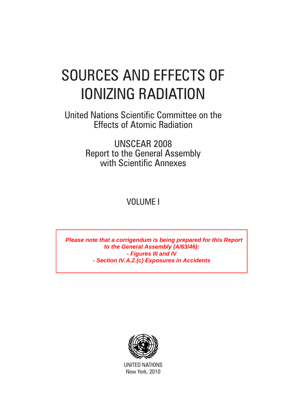# SOURCES AND EFFECTS OF IONIZING RADIATION

United Nations Scientific Committee on the Effects of Atomic Radiation

> UNSCEAR 2008 Report to the General Assembly with Scientific Annexes

> > VOLUME I

Please note that a corrigendum is being prepared for this Report<br>
to the General Assembly (A/63/46):<br>
- Figures III and IV<br>
- Section IV.A.2.(c) Exposures in Accidents<br>
MUNITED NATIONS<br>
New York, 2010 **to the General Assembly (A/63/46): - Figures III and IV - Section IV.A.2.(c) Exposures in Accidents** 



UNITED NATIONS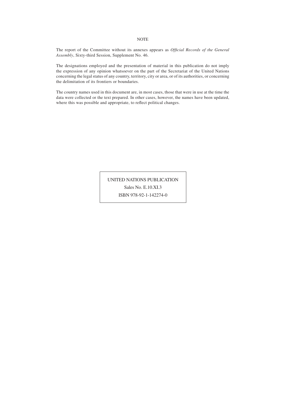#### The report of the Committee without its annexes appears as *Official Records of the General Assembly*, Sixty-third Session, Supplement No. 46.

The designations employed and the presentation of material in this publication do not imply the expression of any opinion whatsoever on the part of the Secretariat of the United Nations concerning the legal status of any country, territory, city or area, or of its authorities, or concerning the delimitation of its frontiers or boundaries.

The country names used in this document are, in most cases, those that were in use at the time the data were collected or the text prepared. In other cases, however, the names have been updated, where this was possible and appropriate, to reflect political changes.

> UNITED NATIONS PUBLICATION Sales No. E.10.XI.3 ISBN 978-92-1-142274-0

#### NOTE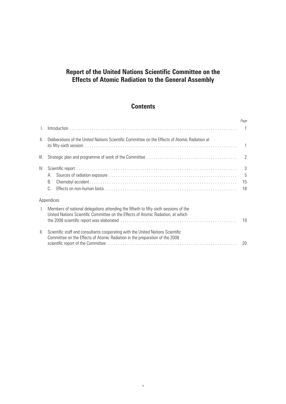# **Report of the United Nations Scientific Committee on the Effects of Atomic Radiation to the General Assembly**

# **Contents**

|               |                                                                                                                                                                           | Page                |
|---------------|---------------------------------------------------------------------------------------------------------------------------------------------------------------------------|---------------------|
|               |                                                                                                                                                                           | $\overline{1}$      |
| $\parallel$ . | Deliberations of the United Nations Scientific Committee on the Effects of Atomic Radiation at                                                                            | $\mathbf{1}$        |
| III.          |                                                                                                                                                                           | 2                   |
| IV.           | Α.<br>В.<br>C.                                                                                                                                                            | 3<br>-5<br>15<br>18 |
|               | Appendices                                                                                                                                                                |                     |
| $\mathbf{L}$  | Members of national delegations attending the fiftieth to fifty-sixth sessions of the<br>United Nations Scientific Committee on the Effects of Atomic Radiation, at which | 19                  |
| $\parallel$ . | Scientific staff and consultants cooperating with the United Nations Scientific<br>Committee on the Effects of Atomic Radiation in the preparation of the 2008            | 20                  |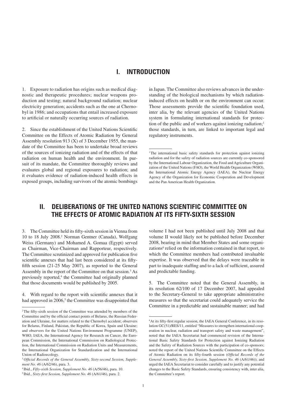## **I. Introduction**

1. Exposure to radiation has origins such as medical diagnostic and therapeutic procedures; nuclear weapons production and testing; natural background radiation; nuclear electricity generation; accidents such as the one at Chernobyl in 1986; and occupations that entail increased exposure to artificial or naturally occurring sources of radiation.

2. Since the establishment of the United Nations Scientific Committee on the Effects of Atomic Radiation by General Assembly resolution 913 (X) of 3 December 1955, the mandate of the Committee has been to undertake broad reviews of the sources of ionizing radiation and of the effects of that radiation on human health and the environment. In pursuit of its mandate, the Committee thoroughly reviews and evaluates global and regional exposures to radiation; and it evaluates evidence of radiation-induced health effects in exposed groups, including survivors of the atomic bombings in Japan. The Committee also reviews advances in the understanding of the biological mechanisms by which radiationinduced effects on health or on the environment can occur. Those assessments provide the scientific foundation used, inter alia, by the relevant agencies of the United Nations system in formulating international standards for protection of the public and of workers against ionizing radiation;<sup>1</sup> those standards, in turn, are linked to important legal and regulatory instruments.

# **II. Deliberations of the United Nations Scientific Committee on the Effects of Atomic Radiation at its fifty-sixth session**

3. The Committee held its fifty-sixth session in Vienna from 10 to 18 July 2008.2 Norman Gentner (Canada), Wolfgang Weiss (Germany) and Mohamed A. Gomaa (Egypt) served as Chairman, Vice-Chairman and Rapporteur, respectively. The Committee scrutinized and approved for publication five scientific annexes that had last been considered at its fiftyfifth session (21-25 May 2007), as reported to the General Assembly in the report of the Committee on that session.3 As previously reported,<sup>4</sup> the Committee had originally planned that those documents would be published by 2005.

4. With regard to the report with scientific annexes that it had approved in 2006,<sup>5</sup> the Committee was disappointed that volume I had not been published until July 2008 and that volume II would likely not be published before December 2008, bearing in mind that Member States and some organizations<sup>6</sup> relied on the information contained in that report, to which the Committee members had contributed invaluable expertise. It was observed that the delays were traceable in part to inadequate staffing and to a lack of sufficient, assured and predictable funding.

5. The Committee noted that the General Assembly, in its resolution 62/100 of 17 December 2007, had appealed to the Secretary-General to take appropriate administrative measures so that the secretariat could adequately service the Committee in a predictable and sustainable manner; and had

<sup>&</sup>lt;sup>1</sup>The international basic safety standards for protection against ionizing radiation and for the safety of radiation sources are currently co-sponsored by the International Labour Organization, the Food and Agriculture Organization of the United Nations (FAO), the World Health Organization (WHO), the International Atomic Energy Agency (IAEA), the Nuclear Energy Agency of the Organization for Economic Cooperation and Development and the Pan American Health Organization.

<sup>2</sup>The fifty-sixth session of the Committee was attended by members of the Committee and by the official contact points of Belarus, the Russian Federation and Ukraine, for matters related to the Chernobyl accident; observers for Belarus, Finland, Pakistan, the Republic of Korea, Spain and Ukraine; and observers for the United Nations Environment Programme (UNEP), WHO, IAEA, the International Agency for Research on Cancer, the European Commission, the International Commission on Radiological Protection, the International Commission on Radiation Units and Measurements, the International Organization for Standardization and the International Union of Radioecology.

<sup>3</sup>*Official Records of the General Assembly, Sixty-second Session, Supplement No. 46* (A/62/46), para. 3.

<sup>4</sup> Ibid., *Fifty-sixth Session, Supplement No. 46* (A/56/46), para. 10.

<sup>5</sup> Ibid., *Sixty-first Session, Supplement No. 46* (A/61/46), para. 2.

<sup>&</sup>lt;sup>6</sup>At its fifty-first regular session, the IAEA General Conference, in its resolution GC(51)/RES/11, entitled "Measures to strengthen international cooperation in nuclear, radiation and transport safety and waste management", noted that the IAEA Secretariat had commenced revision of the International Basic Safety Standards for Protection against Ionizing Radiation and the Safety of Radiation Sources with the participation of co-sponsors; noted the report of the United Nations Scientific Committee on the Effects of Atomic Radiation on its fifty-fourth session (*Official Records of the General Assembly, Sixty-first Session, Supplement No. 46* (A/61/46)); and urged the IAEA Secretariat to consider carefully and to justify any potential changes to the Basic Safety Standards, ensuring consistency with, inter alia, the Committee's report.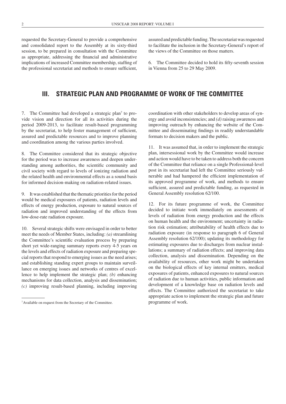requested the Secretary-General to provide a comprehensive and consolidated report to the Assembly at its sixty-third session, to be prepared in consultation with the Committee as appropriate, addressing the financial and administrative implications of increased Committee membership, staffing of the professional secretariat and methods to ensure sufficient,

assured and predictable funding. The secretariat was requested to facilitate the inclusion in the Secretary-General's report of the views of the Committee on those matters.

6. The Committee decided to hold its fifty-seventh session in Vienna from 25 to 29 May 2009.

## **III. Strategic plan and programme of work of the Committee**

7. The Committee had developed a strategic plan<sup>7</sup> to provide vision and direction for all its activities during the period 2009-2013, to facilitate result-based programming by the secretariat, to help foster management of sufficient, assured and predictable resources and to improve planning and coordination among the various parties involved.

8. The Committee considered that its strategic objective for the period was to increase awareness and deepen understanding among authorities, the scientific community and civil society with regard to levels of ionizing radiation and the related health and environmental effects as a sound basis for informed decision-making on radiation-related issues.

9. It was established that the thematic priorities for the period would be medical exposures of patients, radiation levels and effects of energy production, exposure to natural sources of radiation and improved understanding of the effects from low-dose-rate radiation exposure.

10. Several strategic shifts were envisaged in order to better meet the needs of Member States, including: *(a)* streamlining the Committee's scientific evaluation process by preparing short yet wide-ranging summary reports every 4-5 years on the levels and effects of radiation exposure and preparing special reports that respond to emerging issues as the need arises; and establishing standing expert groups to maintain surveillance on emerging issues and networks of centres of excellence to help implement the strategic plan; *(b)* enhancing mechanisms for data collection, analysis and dissemination; *(c)* improving result-based planning, including improving coordination with other stakeholders to develop areas of synergy and avoid inconsistencies; and *(d)* raising awareness and improving outreach by enhancing the website of the Committee and disseminating findings in readily understandable formats to decision makers and the public.

11. It was assumed that, in order to implement the strategic plan, intersessional work by the Committee would increase and action would have to be taken to address both the concern of the Committee that reliance on a single Professional-level post in its secretariat had left the Committee seriously vulnerable and had hampered the efficient implementation of its approved programme of work, and methods to ensure sufficient, assured and predictable funding, as requested in General Assembly resolution 62/100.

12. For its future programme of work, the Committee decided to initiate work immediately on assessments of levels of radiation from energy production and the effects on human health and the environment; uncertainty in radiation risk estimation; attributability of health effects due to radiation exposure (in response to paragraph 6 of General Assembly resolution 62/100); updating its methodology for estimating exposures due to discharges from nuclear installations; a summary of radiation effects; and improving data collection, analysis and dissemination. Depending on the availability of resources, other work might be undertaken on the biological effects of key internal emitters, medical exposures of patients, enhanced exposures to natural sources of radiation due to human activities, public information and development of a knowledge base on radiation levels and effects. The Committee authorized the secretariat to take appropriate action to implement the strategic plan and future programme of work.

<sup>7</sup>Available on request from the Secretary of the Committee.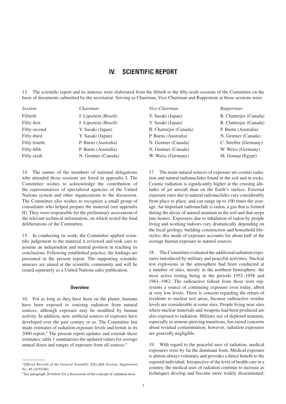## **IV. Scientific report**

13. The scientific report and its annexes were elaborated from the fiftieth to the fifty-sixth sessions of the Committee on the basis of documents submitted by the secretariat. Serving as Chairman, Vice-Chairman and Rapporteur at those sessions were:

| <i>Session</i> | Chairman              | Vice-Chairman          | Rapporteur             |
|----------------|-----------------------|------------------------|------------------------|
| Fiftieth       | J. Lipsztein (Brazil) | Y. Sasaki (Japan)      | R. Chatterjee (Canada) |
| Fifty-first    | J. Lipsztein (Brazil) | Y. Sasaki (Japan)      | R. Chatterjee (Canada) |
| Fifty-second   | Y. Sasaki (Japan)     | R. Chatterjee (Canada) | P. Burns (Australia)   |
| Fifty-third    | Y. Sasaki (Japan)     | P. Burns (Australia)   | N. Gentner (Canada)    |
| Fifty-fourth   | P. Burns (Australia)  | N. Gentner (Canada)    | C. Streffer (Germany)  |
| Fifty-fifth    | P. Burns (Australia)  | N. Gentner (Canada)    | W. Weiss (Germany)     |
| Fifty-sixth    | N. Gentner (Canada)   | W. Weiss (Germany)     | M. Gomaa (Egypt)       |

14. The names of the members of national delegations who attended those sessions are listed in appendix I. The Committee wishes to acknowledge the contribution of the representatives of specialized agencies of the United Nations system and other organizations to the discussion. The Committee also wishes to recognize a small group of consultants who helped prepare the material (see appendix II). They were responsible for the preliminary assessment of the relevant technical information, on which rested the final deliberations of the Committee.

15. In conducting its work, the Committee applied scientific judgement to the material it reviewed and took care to assume an independent and neutral position in reaching its conclusions. Following established practice, the findings are presented in the present report. The supporting scientific annexes are aimed at the scientific community and will be issued separately as a United Nations sales publication.

#### **Overview**

16. For as long as they have been on the planet, humans have been exposed to ionizing radiation from natural sources, although exposure may be modified by human activity. In addition, new, artificial sources of exposure have developed over the past century or so. The Committee last made estimates of radiation exposure levels and trends in its 2000 report.<sup>8</sup> The present report updates and extends those estimates; table 1 summarizes the updated values for average annual doses and ranges of exposure from all sources.<sup>9</sup>

17. The main natural sources of exposure are cosmic radiation and natural radionuclides found in the soil and in rocks. Cosmic radiation is significantly higher at the cruising altitudes of jet aircraft than on the Earth's surface. External exposure rates due to natural radionuclides vary considerably from place to place, and can range up to 100 times the average. An important radionuclide is radon, a gas that is formed during the decay of natural uranium in the soil and that seeps into homes. Exposures due to inhalation of radon by people living and working indoors vary dramatically depending on the local geology, building construction and household lifestyles; this mode of exposure accounts for about half of the average human exposure to natural sources.

18. The Committee evaluated the additional radiation exposures introduced by military and peaceful activities. Nuclear test explosions in the atmosphere had been conducted at a number of sites, mostly in the northern hemisphere, the most active testing being in the periods 1952–1958 and 1961–1962. The radioactive fallout from those tests represents a source of continuing exposure even today, albeit at very low levels. There is concern regarding the return of residents to nuclear test areas, because radioactive residue levels are considerable at some sites. People living near sites where nuclear materials and weapons had been produced are also exposed to radiation. Military use of depleted uranium, especially in armour-piercing munitions, has raised concerns about residual contamination; however, radiation exposures are generally negligible.

19. With regard to the peaceful uses of radiation, medical exposures were by far the dominant form. Medical exposure is almost always voluntary and provides a direct benefit to the exposed individual. Irrespective of the level of health care in a country, the medical uses of radiation continue to increase as techniques develop and become more widely disseminated;

<sup>8</sup>*Official Records of the General Assembly, Fifty-fifth Session, Supplement No. 46* (A/55/46).

<sup>&</sup>lt;sup>9</sup>See paragraph 26 below for a discussion of the concept of radiation dose.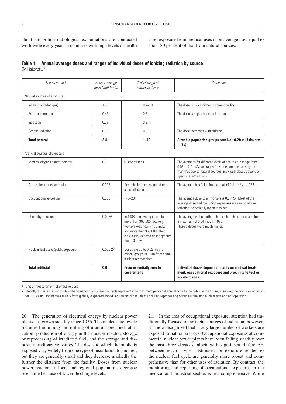about 3.6 billion radiological examinations are conducted worldwide every year. In countries with high levels of health care, exposure from medical uses is on average now equal to about 80 per cent of that from natural sources.

#### **Table 1. Annual average doses and ranges of individual doses of ionizing radiation by source** (Millisieverts*a*)

| Source or mode                       | Annual average<br>dose (worldwide) | Typical range of<br>individual doses                                                                                                                                           | Comments                                                                                                                                                                                                         |
|--------------------------------------|------------------------------------|--------------------------------------------------------------------------------------------------------------------------------------------------------------------------------|------------------------------------------------------------------------------------------------------------------------------------------------------------------------------------------------------------------|
| Natural sources of exposure          |                                    |                                                                                                                                                                                |                                                                                                                                                                                                                  |
| Inhalation (radon gas)               | 1.26                               | $0.2 - 10$                                                                                                                                                                     | The dose is much higher in some dwellings.                                                                                                                                                                       |
| External terrestrial                 | 0.48                               | $0.3 - 1$                                                                                                                                                                      | The dose is higher in some locations.                                                                                                                                                                            |
| Ingestion                            | 0.29                               | $0.2 - 1$                                                                                                                                                                      |                                                                                                                                                                                                                  |
| Cosmic radiation                     | 0.39                               | $0.3 - 1$                                                                                                                                                                      | The dose increases with altitude.                                                                                                                                                                                |
| <b>Total natural</b>                 | 2.4                                | $1 - 13$                                                                                                                                                                       | Sizeable population groups receive 10-20 millisieverts<br>$(mSv)$ .                                                                                                                                              |
| Artificial sources of exposure       |                                    |                                                                                                                                                                                |                                                                                                                                                                                                                  |
| Medical diagnosis (not therapy)      | 0.6                                | 0-several tens                                                                                                                                                                 | The averages for different levels of health care range from<br>0.03 to 2.0 mSv; averages for some countries are higher<br>than that due to natural sources; individual doses depend on<br>specific examinations. |
| Atmospheric nuclear testing          | 0.005                              | Some higher doses around test<br>sites still occur.                                                                                                                            | The average has fallen from a peak of 0.11 mSv in 1963.                                                                                                                                                          |
| Occupational exposure                | 0.005                              | $-0-20$                                                                                                                                                                        | The average dose to all workers is 0.7 mSv. Most of the<br>average dose and most high exposures are due to natural<br>radiation (specifically radon in mines).                                                   |
| Chernobyl accident                   | 0.002 <sup>b</sup>                 | In 1986, the average dose to<br>more than 300,000 recovery<br>workers was nearly 150 mSv;<br>and more than 350,000 other<br>individuals received doses greater<br>than 10 mSv. | The average in the northern hemisphere has decreased from<br>a maximum of 0.04 mSv in 1986.<br>Thyroid doses were much higher.                                                                                   |
| Nuclear fuel cycle (public exposure) | 0.0002 <sup>b</sup>                | Doses are up to 0.02 mSv for<br>critical groups at 1 km from some<br>nuclear reactor sites.                                                                                    |                                                                                                                                                                                                                  |
| <b>Total artificial</b>              | 0.6                                | From essentially zero to<br>several tens                                                                                                                                       | Individual doses depend primarily on medical treat-<br>ment, occupational exposure and proximity to test or<br>accident sites.                                                                                   |

*a* Unit of measurement of effective dose.

*b* Globally dispersed radionuclides. The value for the nuclear fuel cycle represents the maximum per caput annual dose to the public in the future, assuming the practice continues for 100 years, and derives mainly from globally dispersed, long-lived radionuclides released during reprocessing of nuclear fuel and nuclear power plant operation.

20. The generation of electrical energy by nuclear power plants has grown steadily since 1956. The nuclear fuel cycle includes the mining and milling of uranium ore; fuel fabrication; production of energy in the nuclear reactor; storage or reprocessing of irradiated fuel; and the storage and disposal of radioactive wastes. The doses to which the public is exposed vary widely from one type of installation to another, but they are generally small and they decrease markedly the further the distance from the facility. Doses from nuclear power reactors to local and regional populations decrease over time because of lower discharge levels.

21. In the area of occupational exposure, attention had traditionally focused on artificial sources of radiation; however, it is now recognized that a very large number of workers are exposed to natural sources. Occupational exposures at commercial nuclear power plants have been falling steadily over the past three decades, albeit with significant differences between reactor types. Estimates for exposure related to the nuclear fuel cycle are generally more robust and comprehensive than for other uses of radiation. By contrast, the monitoring and reporting of occupational exposures in the medical and industrial sectors is less comprehensive. While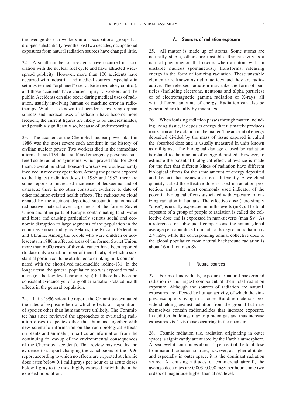the average dose to workers in all occupational groups has dropped substantially over the past two decades, occupational exposures from natural radiation sources have changed little.

22. A small number of accidents have occurred in association with the nuclear fuel cycle and have attracted widespread publicity. However, more than 100 accidents have occurred with industrial and medical sources, especially in settings termed "orphaned" (i.e. outside regulatory control), and those accidents have caused injury to workers and the public. Accidents can also occur during medical uses of radiation, usually involving human or machine error in radiotherapy. While it is known that accidents involving orphan sources and medical uses of radiation have become more frequent, the current figures are likely to be underestimates, and possibly significantly so, because of underreporting.

23. The accident at the Chernobyl nuclear power plant in 1986 was the most severe such accident in the history of civilian nuclear power. Two workers died in the immediate aftermath, and 134 plant staff and emergency personnel suffered acute radiation syndrome, which proved fatal for 28 of them. Several hundred thousand workers were subsequently involved in recovery operations. Among the persons exposed to the highest radiation doses in 1986 and 1987, there are some reports of increased incidence of leukaemia and of cataracts; there is no other consistent evidence to date of other radiation-related health effects. The radioactive cloud created by the accident deposited substantial amounts of radioactive material over large areas of the former Soviet Union and other parts of Europe, contaminating land, water and biota and causing particularly serious social and economic disruption to large segments of the population in the countries known today as Belarus, the Russian Federation and Ukraine. Among the people who were children or adolescents in 1986 in affected areas of the former Soviet Union, more than 6,000 cases of thyroid cancer have been reported (to date only a small number of them fatal), of which a substantial portion could be attributed to drinking milk contaminated with the short-lived radionuclide iodine-131. In the longer term, the general population too was exposed to radiation (of the low-level chronic type) but there has been no consistent evidence yet of any other radiation-related health effects in the general population.

24. In its 1996 scientific report, the Committee evaluated the rates of exposure below which effects on populations of species other than humans were unlikely. The Committee has since reviewed the approaches to evaluating radiation doses to species other than humans, together with new scientific information on the radiobiological effects on plants and animals (in particular information from the continuing follow-up of the environmental consequences of the Chernobyl accident). That review has revealed no evidence to support changing the conclusions of the 1996 report according to which no effects are expected at chronic dose rates below 0.1 milligrays per hour or at acute doses below 1 gray to the most highly exposed individuals in the exposed population.

#### **A. Sources of radiation exposure**

25. All matter is made up of atoms. Some atoms are naturally stable, others are unstable. Radioactivity is a natural phenomenon that occurs when an atom with an unstable nucleus spontaneously transforms, releasing energy in the form of ionizing radiation. These unstable elements are known as radionuclides and they are radioactive. The released radiation may take the form of particles (including electrons, neutrons and alpha particles) or of electromagnetic gamma radiation or X-rays, all with different amounts of energy. Radiation can also be generated artificially by machines.

26. When ionizing radiation passes through matter, including living tissue, it deposits energy that ultimately produces ionization and excitation in the matter. The amount of energy deposited divided by the mass of tissue exposed is called the absorbed dose and is usually measured in units known as milligrays. The biological damage caused by radiation is related to the amount of energy deposited. However, to estimate the potential biological effect, allowance is made for the fact that different kinds of radiation have different biological effects for the same amount of energy deposited and the fact that tissues also react differently. A weighted quantity called the effective dose is used in radiation protection, and is the most commonly used indicator of the potential biological effects associated with exposure to ionizing radiation in humans. The effective dose (here simply "dose") is usually expressed in millisieverts (mSv). The total exposure of a group of people to radiation is called the collective dose and is expressed in man-sieverts (man Sv). As a reference for subsequent comparisons, the annual global average per caput dose from natural background radiation is 2.4 mSv, while the corresponding annual collective dose to the global population from natural background radiation is about 16 million man Sv.

#### 1. Natural sources

27. For most individuals, exposure to natural background radiation is the largest component of their total radiation exposure. Although the sources of radiation are natural, exposures are affected by human activity, of which the simplest example is living in a house. Building materials provide shielding against radiation from the ground but may themselves contain radionuclides that increase exposure. In addition, buildings may trap radon gas and thus increase exposures vis-à-vis those occurring in the open air.

28. Cosmic radiation (i.e. radiation originating in outer space) is significantly attenuated by the Earth's atmosphere. At sea level it contributes about 15 per cent of the total dose from natural radiation sources; however, at higher altitudes and especially in outer space, it is the dominant radiation source. At cruising altitudes of commercial aircraft, the average dose rates are 0.003–0.008 mSv per hour, some two orders of magnitude higher than at sea level.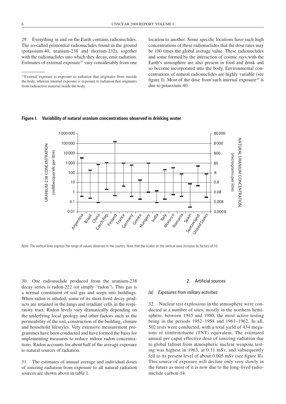29. Everything in and on the Earth contains radionuclides. The so-called primordial radionuclides found in the ground (potassium-40, uranium-238 and thorium-232), together with the radionuclides into which they decay, emit radiation. Estimates of external exposure<sup>10</sup> vary considerably from one location to another. Some specific locations have such high concentrations of these radionuclides that the dose rates may be 100 times the global average value. These radionuclides and some formed by the interaction of cosmic rays with the Earth's atmosphere are also present in food and drink and so become incorporated into the body. Environmental concentrations of natural radionuclides are highly variable (see figure I). Most of the dose from such internal exposure<sup>10</sup> is due to potassium-40.

#### **Figure I. Variability of natural uranium concentrations observed in drinking water**



*Note*: The vertical lines express the range of values observed in the country. Note that the scales on the vertical axes increase by factors of 10.

30. One radionuclide produced from the uranium-238 decay series is radon-222 (or simply "radon"). This gas is a normal constituent of soil gas and seeps into buildings. When radon is inhaled, some of its short-lived decay products are retained in the lungs and irradiate cells in the respiratory tract. Radon levels vary dramatically depending on the underlying local geology and other factors such as the permeability of the soil, construction of the building, climate and household lifestyles. Very extensive measurement programmes have been conducted and have formed the basis for implementing measures to reduce indoor radon concentrations. Radon accounts for about half of the average exposure to natural sources of radiation.

31. The estimates of annual average and individual doses of ionizing radiation from exposure to all natural radiation sources are shown above in table 1.

#### 2. Artificial sources

#### *(a) Exposures from military activities*

32. Nuclear test explosions in the atmosphere were conducted at a number of sites, mostly in the northern hemisphere, between 1945 and 1980, the most active testing being in the periods 1952–1958 and 1961–1962. In all, 502 tests were conducted, with a total yield of 434 megatons of trinitrotoluene (TNT) equivalent. The estimated annual per caput effective dose of ionizing radiation due to global fallout from atmospheric nuclear weapons testing was highest in 1963, at 0.11 mSv, and subsequently fell to its present level of about 0.005 mSv (see figure II). This source of exposure will decline only very slowly in the future as most of it is now due to the long-lived radionuclide carbon-14.

<sup>10</sup>External exposure is exposure to radiation that originates from outside the body, whereas internal exposure is exposure to radiation that originates from radioactive material inside the body.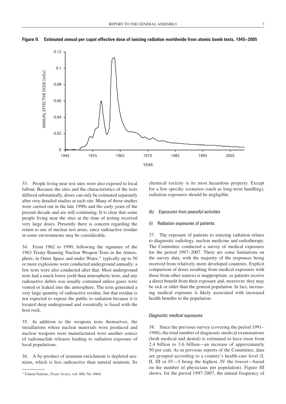

**Figure II. Estimated annual per caput effective dose of ionizing radiation worldwide from atomic bomb tests, 1945–2005**

33. People living near test sites were also exposed to local fallout. Because the sites and the characteristics of the tests differed substantially, doses can only be estimated separately after very detailed studies at each site. Many of those studies were carried out in the late 1990s and the early years of the present decade and are still continuing. It is clear that some people living near the sites at the time of testing received very large doses. Presently there is concern regarding the return to use of nuclear test areas, since radioactive residue in some environments may be considerable.

34. From 1962 to 1990, following the signature of the 1963 Treaty Banning Nuclear Weapon Tests in the Atmosphere, in Outer Space and under Water,<sup>11</sup> typically up to 50 or more explosions were conducted underground annually; a few tests were also conducted after that. Most underground tests had a much lower yield than atmospheric tests, and any radioactive debris was usually contained unless gases were vented or leaked into the atmosphere. The tests generated a very large quantity of radioactive residue, but that residue is not expected to expose the public to radiation because it is located deep underground and essentially is fused with the host rock.

35. In addition to the weapons tests themselves, the installations where nuclear materials were produced and nuclear weapons were manufactured were another source of radionuclide releases leading to radiation exposure of local populations.

36. A by-product of uranium enrichment is depleted uranium, which is less radioactive than natural uranium. Its chemical toxicity is its most hazardous property. Except for a few specific scenarios (such as long-term handling), radiation exposures should be negligible.

#### *(b) Exposures from peaceful activities*

#### (i) Radiation exposures of patients

37. The exposure of patients to ionizing radiation relates to diagnostic radiology, nuclear medicine and radiotherapy. The Committee conducted a survey of medical exposures for the period 1997–2007. There are some limitations on the survey data, with the majority of the responses being received from relatively more developed countries. Explicit comparison of doses resulting from medical exposures with those from other sources is inappropriate, as patients receive a direct benefit from their exposure and, moreover, they may be sick or older than the general population. In fact, increasing medical exposure is likely associated with increased health benefits to the population.

#### *Diagnostic medical exposures*

38. Since the previous survey (covering the period 1991– 1996), the total number of diagnostic medical examinations (both medical and dental) is estimated to have risen from 2.4 billion to 3.6 billion—an increase of approximately 50 per cent. As in previous reports of the Committee, data are grouped according to a country's health-care level (I, II, III or IV—I being the highest, IV the lowest—based on the number of physicians per population). Figure III shows, for the period 1997-2007, the annual frequency of

<sup>11</sup>United Nations, *Treaty Series*, vol. 480, No. 6964.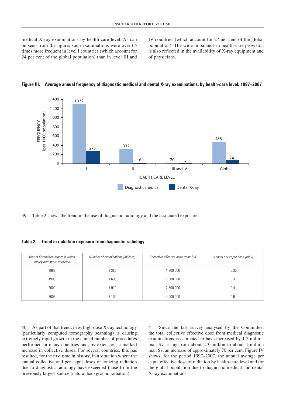medical X-ray examinations by health-care level. As can be seen from the figure, such examinations were over 65 times more frequent in level I countries (which account for 24 per cent of the global population) than in level III and IV countries (which account for 27 per cent of the global population). The wide imbalance in health-care provision is also reflected in the availability of X-ray equipment and of physicians.



**Figure III. Average annual frequency of diagnostic medical and dental X-ray examinations, by health-care level, 1997–2007**

39. Table 2 shows the trend in the use of diagnostic radiology and the associated exposures.

**Table 2. Trend in radiation exposure from diagnostic radiology**

| Year of Committee report in which<br>survey data were analysed | Number of examinations (millions) | Collective effective dose (man Sv) | Annual per caput dose (mSv) |
|----------------------------------------------------------------|-----------------------------------|------------------------------------|-----------------------------|
| 1988                                                           | 1 380                             | 1800000                            | 0.35                        |
| 1993                                                           | 1 600                             | 1 600 000                          | 0.3                         |
| 2000                                                           | 1910                              | 2 300 000                          | 0.4                         |
| 2008                                                           | 3 1 0 0                           | 4 000 000                          | 0.6                         |

40. As part of that trend, new, high-dose X-ray technology (particularly computed tomography scanning) is causing extremely rapid growth in the annual number of procedures performed in many countries and, by extension, a marked increase in collective doses. For several countries, this has resulted, for the first time in history, in a situation where the annual collective and per caput doses of ionizing radiation due to diagnostic radiology have exceeded those from the previously largest source (natural background radiation).

41. Since the last survey analysed by the Committee, the total collective effective dose from medical diagnostic examinations is estimated to have increased by 1.7 million man Sv, rising from about 2.3 million to about 4 million man Sv, an increase of approximately 70 per cent. Figure IV shows, for the period 1997–2007, the annual average per caput effective dose of radiation by health-care level and for the global population due to diagnostic medical and dental X-ray examinations.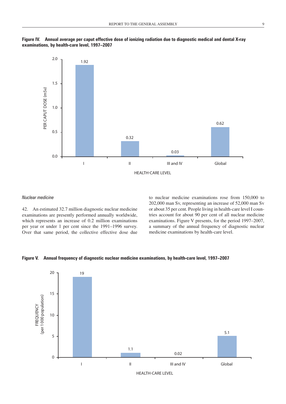



#### *Nuclear medicine*

42. An estimated 32.7 million diagnostic nuclear medicine examinations are presently performed annually worldwide, which represents an increase of 0.2 million examinations per year or under 1 per cent since the 1991–1996 survey. Over that same period, the collective effective dose due to nuclear medicine examinations rose from 150,000 to 202,000 man Sv, representing an increase of 52,000 man Sv or about 35 per cent. People living in health-care level I countries account for about 90 per cent of all nuclear medicine examinations. Figure V presents, for the period 1997–2007, a summary of the annual frequency of diagnostic nuclear medicine examinations by health-care level.



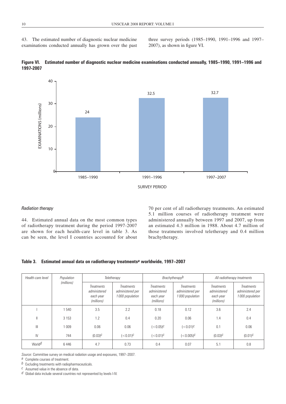43. The estimated number of diagnostic nuclear medicine examinations conducted annually has grown over the past three survey periods (1985–1990, 1991–1996 and 1997– 2007), as shown in figure VI.



**Figure VI. Estimated number of diagnostic nuclear medicine examinations conducted annually, 1985–1990, 1991–1996 and 1997-2007**

#### *Radiation therapy*

44. Estimated annual data on the most common types of radiotherapy treatment during the period 1997-2007 are shown for each health-care level in table 3. As can be seen, the level I countries accounted for about

70 per cent of all radiotherapy treatments. An estimated 5.1 million courses of radiotherapy treatment were administered annually between 1997 and 2007, up from an estimated 4.3 million in 1988. About 4.7 million of those treatments involved teletherapy and 0.4 million brachytherapy.

**Table 3. Estimated annual data on radiotherapy treatments***a* **worldwide, 1997–2007**

| Health-care level  | Population |                                                              | Teletherapy                                              |                                                              | <b>Brachytherapy</b> b                                   |                                                              | All radiotherapy treatments                              |
|--------------------|------------|--------------------------------------------------------------|----------------------------------------------------------|--------------------------------------------------------------|----------------------------------------------------------|--------------------------------------------------------------|----------------------------------------------------------|
|                    | (millions) | <b>Treatments</b><br>administered<br>each year<br>(millions) | <b>Treatments</b><br>administered per<br>1000 population | <b>Treatments</b><br>administered<br>each year<br>(millions) | <b>Treatments</b><br>administered per<br>1000 population | <b>Treatments</b><br>administered<br>each year<br>(millions) | <b>Treatments</b><br>administered per<br>1000 population |
|                    | 540        | 3.5                                                          | 2.2                                                      | 0.18                                                         | 0.12                                                     | 3.6                                                          | 2.4                                                      |
| Ш                  | 3 1 5 3    | 1.2                                                          | 0.4                                                      | 0.20                                                         | 0.06                                                     | 1.4                                                          | 0.4                                                      |
| $\parallel$        | 1 0 0 9    | 0.06                                                         | 0.06                                                     | (< 0.05)c                                                    | $(<0.01)$ <sup>C</sup>                                   | 0.1                                                          | 0.06                                                     |
| IV                 | 744        | $(0.03)$ <sup>C</sup>                                        | $(<0.01)$ <sup>C</sup>                                   | $(< 0.01)$ <sup>C</sup>                                      | (< 0.005)c                                               | $(0.03)$ <sup>C</sup>                                        | $(0.01)^{c}$                                             |
| World <sup>d</sup> | 6446       | 4.7                                                          | 0.73                                                     | 0.4                                                          | 0.07                                                     | 5.1                                                          | 0.8                                                      |

*Source*: Committee survey on medical radiation usage and exposures, 1997–2007.

*a* Complete courses of treatment.

*b* Excluding treatments with radiopharmaceuticals.

*c* Assumed value in the absence of data.

*d* Global data include several countries not represented by levels I-IV.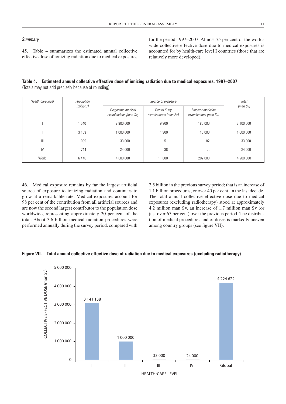#### *Summary*

45. Table 4 summarizes the estimated annual collective effective dose of ionizing radiation due to medical exposures for the period 1997–2007. Almost 75 per cent of the worldwide collective effective dose due to medical exposures is accounted for by health-care level I countries (those that are relatively more developed).

#### **Table 4. Estimated annual collective effective dose of ionizing radiation due to medical exposures, 1997–2007** (Totals may not add precisely because of rounding)

| Health-care level | Population |                                             | Total                                 |                                           |           |
|-------------------|------------|---------------------------------------------|---------------------------------------|-------------------------------------------|-----------|
|                   | (millions) | Diagnostic medical<br>examinations (man Sv) | Dental X-ray<br>examinations (man Sv) | Nuclear medicine<br>examinations (man Sv) | (man Sv)  |
|                   | 540        | 2 900 000                                   | 9 9 0 0                               | 186 000                                   | 3 100 000 |
| Ш                 | 3 1 5 3    | 1 000 000                                   | 300                                   | 16 000                                    | 1 000 000 |
| $\mathbb{H}$      | 009        | 33 000                                      | 51                                    | 82                                        | 33 000    |
| IV                | 744        | 24 000                                      | 38                                    | $\sim$ $\sim$                             | 24 000    |
| World             | 6446       | 4 000 000                                   | 11 000                                | 202 000                                   | 4 200 000 |

46. Medical exposure remains by far the largest artificial source of exposure to ionizing radiation and continues to grow at a remarkable rate. Medical exposures account for 98 per cent of the contribution from all artificial sources and are now the second largest contributor to the population dose worldwide, representing approximately 20 per cent of the total. About 3.6 billion medical radiation procedures were performed annually during the survey period, compared with 2.5 billion in the previous survey period; that is an increase of 1.1 billion procedures, or over 40 per cent, in the last decade. The total annual collective effective dose due to medical exposures (excluding radiotherapy) stood at approximately 4.2 million man Sv, an increase of 1.7 million man Sv (or just over 65 per cent) over the previous period. The distribution of medical procedures and of doses is markedly uneven among country groups (see figure VII).

#### **Figure VII. Total annual collective effective dose of radiation due to medical exposures (excluding radiotherapy)**

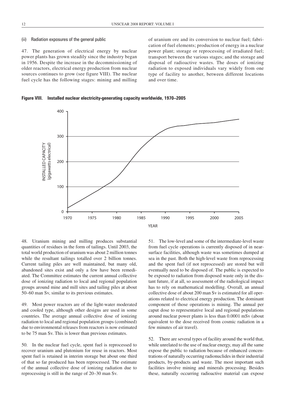#### (ii) Radiation exposures of the general public

47. The generation of electrical energy by nuclear power plants has grown steadily since the industry began in 1956. Despite the increase in the decommissioning of older reactors, electrical energy production from nuclear sources continues to grow (see figure VIII). The nuclear fuel cycle has the following stages: mining and milling of uranium ore and its conversion to nuclear fuel; fabrication of fuel elements; production of energy in a nuclear power plant; storage or reprocessing of irradiated fuel; transport between the various stages; and the storage and disposal of radioactive wastes. The doses of ionizing radiation to exposed individuals vary widely from one type of facility to another, between different locations and over time.

**Figure VIII. Installed nuclear electricity-generating capacity worldwide, 1970–2005**



48. Uranium mining and milling produces substantial quantities of residues in the form of tailings. Until 2003, the total world production of uranium was about 2 million tonnes while the resultant tailings totalled over 2 billion tonnes. Current tailing piles are well maintained, but many old, abandoned sites exist and only a few have been remediated. The Committee estimates the current annual collective dose of ionizing radiation to local and regional population groups around mine and mill sites and tailing piles at about 50–60 man Sv, similar to its previous estimates.

49. Most power reactors are of the light-water moderated and cooled type, although other designs are used in some countries. The average annual collective dose of ionizing radiation to local and regional population groups (combined) due to environmental releases from reactors is now estimated to be 75 man Sv. This is lower than previous estimates.

50. In the nuclear fuel cycle, spent fuel is reprocessed to recover uranium and plutonium for reuse in reactors. Most spent fuel is retained in interim storage but about one third of that so far produced has been reprocessed. The estimate of the annual collective dose of ionizing radiation due to reprocessing is still in the range of 20–30 man Sv.

51. The low-level and some of the intermediate-level waste from fuel cycle operations is currently disposed of in nearsurface facilities, although waste was sometimes dumped at sea in the past. Both the high-level waste from reprocessing and the spent fuel (if not reprocessed) are stored but will eventually need to be disposed of. The public is expected to be exposed to radiation from disposed waste only in the distant future, if at all, so assessment of the radiological impact has to rely on mathematical modelling. Overall, an annual collective dose of about 200 man Sv is estimated for all operations related to electrical energy production. The dominant component of those operations is mining. The annual per caput dose to representative local and regional populations around nuclear power plants is less than 0.0001 mSv (about equivalent to the dose received from cosmic radiation in a few minutes of air travel).

52. There are several types of facility around the world that, while unrelated to the use of nuclear energy, may all the same expose the public to radiation because of enhanced concentrations of naturally occurring radionuclides in their industrial products, by-products and waste. The most important such facilities involve mining and minerals processing. Besides these, naturally occurring radioactive material can expose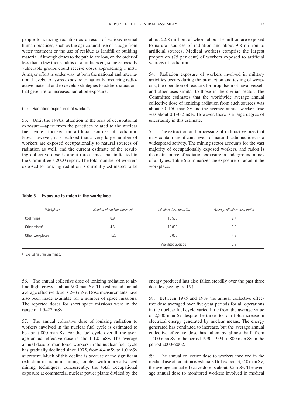people to ionizing radiation as a result of various normal human practices, such as the agricultural use of sludge from water treatment or the use of residue as landfill or building material. Although doses to the public are low, on the order of less than a few thousandths of a millisievert, some especially vulnerable groups could receive doses approaching 1 mSv. A major effort is under way, at both the national and international levels, to assess exposure to naturally occurring radioactive material and to develop strategies to address situations that give rise to increased radiation exposure.

#### (iii) Radiation exposures of workers

53. Until the 1990s, attention in the area of occupational exposure—apart from the practices related to the nuclear fuel cycle—focused on artificial sources of radiation. Now, however, it is realized that a very large number of workers are exposed occupationally to natural sources of radiation as well, and the current estimate of the resulting collective dose is about three times that indicated in the Committee's 2000 report. The total number of workers exposed to ionizing radiation is currently estimated to be about 22.8 million, of whom about 13 million are exposed to natural sources of radiation and about 9.8 million to artificial sources. Medical workers comprise the largest proportion (75 per cent) of workers exposed to artificial sources of radiation.

54. Radiation exposure of workers involved in military activities occurs during the production and testing of weapons, the operation of reactors for propulsion of naval vessels and other uses similar to those in the civilian sector. The Committee estimates that the worldwide average annual collective dose of ionizing radiation from such sources was about 50–150 man Sv and the average annual worker dose was about 0.1–0.2 mSv. However, there is a large degree of uncertainty in this estimate.

55. The extraction and processing of radioactive ores that may contain significant levels of natural radionuclides is a widespread activity. The mining sector accounts for the vast majority of occupationally exposed workers, and radon is the main source of radiation exposure in underground mines of all types. Table 5 summarizes the exposure to radon in the workplace.

#### **Table 5. Exposure to radon in the workplace**

| Workplace                | Number of workers (millions) | Collective dose (man Sv) | Average effective dose (mSv) |
|--------------------------|------------------------------|--------------------------|------------------------------|
| Coal mines               | 6.9                          | 16 560                   | 2.4                          |
| Other mines <sup>a</sup> | 4.6                          | 13 800                   | 3.0                          |
| Other workplaces         | .25                          | 6 0 0 0                  | 4.8                          |
|                          |                              | Weighted average         | 2.9                          |

*a* Excluding uranium mines.

56. The annual collective dose of ionizing radiation to airline flight crews is about 900 man Sv. The estimated annual average effective dose is 2–3 mSv. Dose measurements have also been made available for a number of space missions. The reported doses for short space missions were in the range of 1.9–27 mSv.

57. The annual collective dose of ionizing radiation to workers involved in the nuclear fuel cycle is estimated to be about 800 man Sv. For the fuel cycle overall, the average annual effective dose is about 1.0 mSv. The average annual dose to monitored workers in the nuclear fuel cycle has gradually declined since 1975, from 4.4 mSv to 1.0 mSv at present. Much of this decline is because of the significant reduction in uranium mining coupled with more advanced mining techniques; concurrently, the total occupational exposure at commercial nuclear power plants divided by the

energy produced has also fallen steadily over the past three decades (see figure IX).

58. Between 1975 and 1989 the annual collective effective dose averaged over five-year periods for all operations in the nuclear fuel cycle varied little from the average value of 2,500 man Sv despite the three- to four-fold increase in electrical energy generated by nuclear means. The energy generated has continued to increase, but the average annual collective effective dose has fallen by almost half, from 1,400 man Sv in the period 1990–1994 to 800 man Sv in the period 2000–2002.

59. The annual collective dose to workers involved in the medical use of radiation is estimated to be about 3,540man Sv; the average annual effective dose is about 0.5 mSv. The average annual dose to monitored workers involved in medical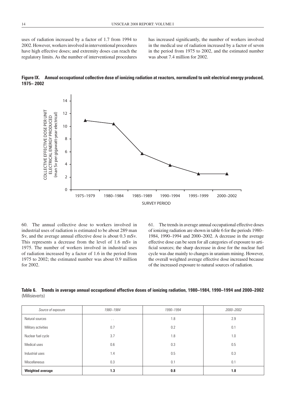uses of radiation increased by a factor of 1.7 from 1994 to 2002. However, workers involved in interventional procedures have high effective doses; and extremity doses can reach the regulatory limits. As the number of interventional procedures has increased significantly, the number of workers involved in the medical use of radiation increased by a factor of seven in the period from 1975 to 2002, and the estimated number was about 7.4 million for 2002.





60. The annual collective dose to workers involved in industrial uses of radiation is estimated to be about 289 man Sv, and the average annual effective dose is about 0.3 mSv. This represents a decrease from the level of 1.6 mSv in 1975. The number of workers involved in industrial uses of radiation increased by a factor of 1.6 in the period from 1975 to 2002; the estimated number was about 0.9 million for 2002.

61. The trends in average annual occupational effective doses of ionizing radiation are shown in table 6 for the periods 1980– 1984, 1990–1994 and 2000–2002. A decrease in the average effective dose can be seen for all categories of exposure to artificial sources; the sharp decrease in dose for the nuclear fuel cycle was due mainly to changes in uranium mining. However, the overall weighted average effective dose increased because of the increased exposure to natural sources of radiation.

**Table 6. Trends in average annual occupational effective doses of ionizing radiation, 1980–1984, 1990–1994 and 2000–2002** (Millisieverts)

| Source of exposure  | 1980-1984     | 1990-1994 | 2000-2002 |
|---------------------|---------------|-----------|-----------|
| Natural sources     | $\sim$ $\sim$ | 1.8       | 2.9       |
| Military activities | 0.7           | 0.2       | 0.1       |
| Nuclear fuel cycle  | 3.7           | 1.8       | 1.0       |
| Medical uses        | 0.6           | 0.3       | 0.5       |
| Industrial uses     | 1.4           | 0.5       | 0.3       |
| Miscellaneous       | 0.3           | 0.1       | 0.1       |
| Weighted average    | 1.3           | 0.8       | 1.8       |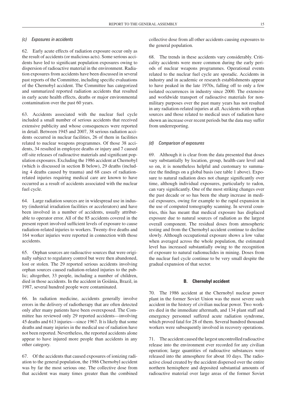#### *(c) Exposures in accidents*

62. Early acute effects of radiation exposure occur only as the result of accidents (or malicious acts). Some serious accidents have led to significant population exposures owing to dispersion of radioactive material in the environment. Radiation exposures from accidents have been discussed in several past reports of the Committee, including specific evaluations of the Chernobyl accident. The Committee has categorized and summarized reported radiation accidents that resulted in early acute health effects, deaths or major environmental contamination over the past 60 years.

63. Accidents associated with the nuclear fuel cycle included a small number of serious accidents that received extensive publicity and whose consequences were reported in detail. Between 1945 and 2007, 38 serious radiation accidents occurred in nuclear facilities, 26 of them in facilities related to nuclear weapons programmes. Of those 38 accidents, 34 resulted in employee deaths or injury and 7 caused off-site releases of radioactive materials and significant population exposures. Excluding the 1986 accident at Chernobyl (which is discussed in section B below), 29 deaths (including 4 deaths caused by trauma) and 68 cases of radiationrelated injuries requiring medical care are known to have occurred as a result of accidents associated with the nuclear fuel cycle.

64. Large radiation sources are in widespread use in industry (industrial irradiation facilities or accelerators) and have been involved in a number of accidents, usually attributable to operator error. All of the 85 accidents covered in the present report involved sufficient levels of exposure to cause radiation-related injuries to workers. Twenty-five deaths and 164 worker injuries were reported in connection with those accidents.

65. Orphan sources are radioactive sources that were originally subject to regulatory control but were then abandoned, lost or stolen. The 29 reported serious accidents involving orphan sources caused radiation-related injuries to the public; altogether, 33 people, including a number of children, died in those accidents. In the accident in Goiânia, Brazil, in 1987, several hundred people were contaminated.

66. In radiation medicine, accidents generally involve errors in the delivery of radiotherapy that are often detected only after many patients have been overexposed. The Committee has reviewed only 29 reported accidents—involving 45 deaths and 613 injuries—since 1967. It is likely that some deaths and many injuries in the medical use of radiation have not been reported. Nevertheless, the reported accidents alone appear to have injured more people than accidents in any other category.

67. Of the accidents that caused exposures of ionizing radiation to the general population, the 1986 Chernobyl accident was by far the most serious one. The collective dose from that accident was many times greater than the combined collective dose from all other accidents causing exposures to the general population.

68. The trends in these accidents vary considerably. Criticality accidents were more common during the early periods of nuclear weapons programmes. Operational events related to the nuclear fuel cycle are sporadic. Accidents in industry and in academic or research establishments appear to have peaked in the late 1970s, falling off to only a few isolated occurrences in industry since 2000. The extensive and worldwide transport of radioactive materials for nonmilitary purposes over the past many years has not resulted in any radiation-related injuries at all. Accidents with orphan sources and those related to medical uses of radiation have shown an increase over recent periods but the data may suffer from underreporting.

#### *(d) Comparison of exposures*

69. Although it is clear from the data presented that doses vary substantially by location, group, health-care level and so on, it is nonetheless helpful and customary to summarize the findings on a global basis (see table 1 above). Exposure to natural radiation does not change significantly over time, although individual exposures, particularly to radon, can vary significantly. One of the most striking changes over the past decade or so has been the sharp increase in medical exposures, owing for example to the rapid expansion in the use of computed tomography scanning. In several countries, this has meant that medical exposure has displaced exposure due to natural sources of radiation as the largest overall component. The residual doses from atmospheric testing and from the Chernobyl accident continue to decline slowly. Although occupational exposure shows a low value when averaged across the whole population, the estimated level has increased substantially owing to the recognition of exposure to natural radionuclides in mining. Doses from the nuclear fuel cycle continue to be very small despite the gradual expansion of that sector.

#### **B. Chernobyl accident**

70. The 1986 accident at the Chernobyl nuclear power plant in the former Soviet Union was the most severe such accident in the history of civilian nuclear power. Two workers died in the immediate aftermath, and 134 plant staff and emergency personnel suffered acute radiation syndrome, which proved fatal for 28 of them. Several hundred thousand workers were subsequently involved in recovery operations.

71. The accident caused the largest uncontrolled radioactive release into the environment ever recorded for any civilian operation; large quantities of radioactive substances were released into the atmosphere for about 10 days. The radioactive cloud created by the accident dispersed over the entire northern hemisphere and deposited substantial amounts of radioactive material over large areas of the former Soviet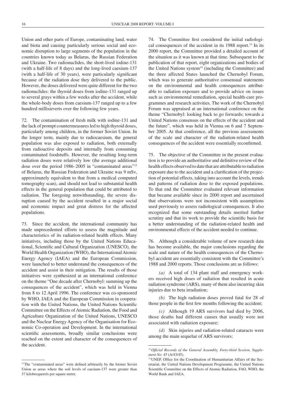Union and other parts of Europe, contaminating land, water and biota and causing particularly serious social and economic disruption to large segments of the population in the countries known today as Belarus, the Russian Federation and Ukraine. Two radionuclides, the short-lived iodine-131 (with a half-life of 8 days) and the long-lived caesium-137 (with a half-life of 30 years), were particularly significant because of the radiation dose they delivered to the public. However, the doses delivered were quite different for the two radionuclides: the thyroid doses from iodine-131 ranged up to several grays within a few weeks after the accident, while the whole-body doses from caesium-137 ranged up to a few hundred millisieverts over the following few years.

72. The contamination of fresh milk with iodine-131 and the lack of prompt countermeasures led to high thyroid doses, particularly among children, in the former Soviet Union. In the longer term, mainly due to radiocaesium, the general population was also exposed to radiation, both externally from radioactive deposits and internally from consuming contaminated foodstuffs. However, the resulting long-term radiation doses were relatively low (the average additional dose over the period 1986–2005 in "contaminated areas"<sup>12</sup> of Belarus, the Russian Federation and Ukraine was 9 mSv, approximately equivalent to that from a medical computed tomography scan), and should not lead to substantial health effects in the general population that could be attributed to radiation. The foregoing notwithstanding, the severe disruption caused by the accident resulted in a major social and economic impact and great distress for the affected populations.

73. Since the accident, the international community has made unprecedented efforts to assess the magnitude and characteristics of its radiation-related health effects. Many initiatives, including those by the United Nations Educational, Scientific and Cultural Organization (UNESCO), the World Health Organization (WHO), the International Atomic Energy Agency (IAEA) and the European Commission, were launched to better understand the consequences of the accident and assist in their mitigation. The results of those initiatives were synthesized at an international conference on the theme "One decade after Chernobyl: summing up the consequences of the accident", which was held in Vienna from 8 to 12 April 1996. The conference was co-sponsored by WHO, IAEA and the European Commission in cooperation with the United Nations, the United Nations Scientific Committee on the Effects of Atomic Radiation, the Food and Agriculture Organization of the United Nations, UNESCO and the Nuclear Energy Agency of the Organisation for Economic Co-operation and Development. In the international scientific assessments, broadly similar conclusions were reached on the extent and character of the consequences of the accident.

74. The Committee first considered the initial radiological consequences of the accident in its 1988 report.<sup>13</sup> In its 2000 report, the Committee provided a detailed account of the situation as it was known at that time. Subsequent to the publication of that report, eight organizations and bodies of the United Nations system $14$  (including the Committee) and the three affected States launched the Chernobyl Forum, which was to generate authoritative consensual statements on the environmental and health consequences attributable to radiation exposure and to provide advice on issues such as environmental remediation, special health-care programmes and research activities. The work of the Chernobyl Forum was appraised at an international conference on the theme "Chernobyl: looking back to go forwards; towards a United Nations consensus on the effects of the accident and the future", which was held in Vienna on 6 and 7 September 2005. At that conference, all the previous assessments of the scale and character of the radiation-related health consequences of the accident were essentially reconfirmed.

75. The objective of the Committee in the present evaluation is to provide an authoritative and definitive review of the health effects observed to date that are attributable to radiation exposure due to the accident and a clarification of the projection of potential effects, taking into account the levels, trends and patterns of radiation dose to the exposed populations. To that end the Committee evaluated relevant information that became available since its 2000 report and ascertained that observations were not inconsistent with assumptions used previously to assess radiological consequences. It also recognized that some outstanding details merited further scrutiny and that its work to provide the scientific basis for a better understanding of the radiation-related health and environmental effects of the accident needed to continue.

76. Although a considerable volume of new research data has become available, the major conclusions regarding the scale and nature of the health consequences of the Chernobyl accident are essentially consistent with the Committee's 1988 and 2000 reports. Those conclusions are as follows:

*(a)* A total of 134 plant staff and emergency workers received high doses of radiation that resulted in acute radiation syndrome (ARS), many of them also incurring skin injuries due to beta irradiation;

*(b)* The high radiation doses proved fatal for 28 of those people in the first few months following the accident;

*(c)* Although 19 ARS survivors had died by 2006, those deaths had different causes that usually were not associated with radiation exposure;

*(d)* Skin injuries and radiation-related cataracts were among the main sequelae of ARS survivors;

<sup>&</sup>lt;sup>12</sup>The "contaminated areas" were defined arbitrarily by the former Soviet Union as areas where the soil levels of caesium-137 were greater than 37 kilobecquerels per square metre.

<sup>&</sup>lt;sup>13</sup> Official Records of the General Assembly, Forty-third Session, Supple*ment No. 45* (A/43/45).

<sup>14</sup>UNEP, Office for the Coordination of Humanitarian Affairs of the Secretariat, the United Nations Development Programme, the United Nations Scientific Committee on the Effects of Atomic Radiation, FAO, WHO, the World Bank and IAEA.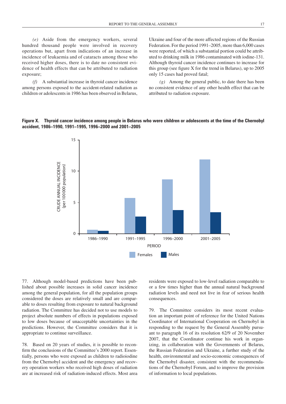*(e)* Aside from the emergency workers, several hundred thousand people were involved in recovery operations but, apart from indications of an increase in incidence of leukaemia and of cataracts among those who received higher doses, there is to date no consistent evidence of health effects that can be attributed to radiation exposure;

*(f)* A substantial increase in thyroid cancer incidence among persons exposed to the accident-related radiation as children or adolescents in 1986 has been observed in Belarus, Ukraine and four of the more affected regions of the Russian Federation. For the period 1991–2005, more than 6,000 cases were reported, of which a substantial portion could be attributed to drinking milk in 1986 contaminated with iodine-131. Although thyroid cancer incidence continues to increase for this group (see figure X for the trend in Belarus), up to 2005 only 15 cases had proved fatal;

*(g)* Among the general public, to date there has been no consistent evidence of any other health effect that can be attributed to radiation exposure.

#### **Figure X. Thyroid cancer incidence among people in Belarus who were children or adolescents at the time of the Chernobyl accident, 1986–1990, 1991–1995, 1996–2000 and 2001–2005**



77. Although model-based predictions have been published about possible increases in solid cancer incidence among the general population, for all the population groups considered the doses are relatively small and are comparable to doses resulting from exposure to natural background radiation. The Committee has decided not to use models to project absolute numbers of effects in populations exposed to low doses because of unacceptable uncertainties in the predictions. However, the Committee considers that it is appropriate to continue surveillance.

78. Based on 20 years of studies, it is possible to reconfirm the conclusions of the Committee's 2000 report. Essentially, persons who were exposed as children to radioiodine from the Chernobyl accident and the emergency and recovery operation workers who received high doses of radiation are at increased risk of radiation-induced effects. Most area residents were exposed to low-level radiation comparable to or a few times higher than the annual natural background radiation levels and need not live in fear of serious health consequences.

79. The Committee considers its most recent evaluation an important point of reference for the United Nations Coordinator of International Cooperation on Chernobyl in responding to the request by the General Assembly pursuant to paragraph 16 of its resolution 62/9 of 20 November 2007, that the Coordinator continue his work in organizing, in collaboration with the Governments of Belarus, the Russian Federation and Ukraine, a further study of the health, environmental and socio-economic consequences of the Chernobyl disaster, consistent with the recommendations of the Chernobyl Forum, and to improve the provision of information to local populations.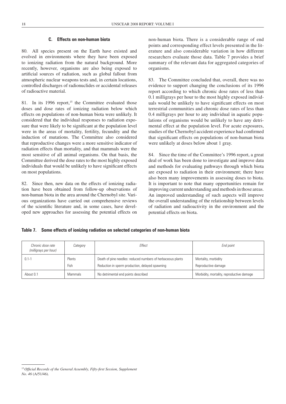#### **C. Effects on non-human biota**

80. All species present on the Earth have existed and evolved in environments where they have been exposed to ionizing radiation from the natural background. More recently, however, organisms are also being exposed to artificial sources of radiation, such as global fallout from atmospheric nuclear weapons tests and, in certain locations, controlled discharges of radionuclides or accidental releases of radioactive material.

81. In its 1996 report,<sup>15</sup> the Committee evaluated those doses and dose rates of ionizing radiation below which effects on populations of non-human biota were unlikely. It considered that the individual responses to radiation exposure that were likely to be significant at the population level were in the areas of mortality, fertility, fecundity and the induction of mutations. The Committee also considered that reproductive changes were a more sensitive indicator of radiation effects than mortality, and that mammals were the most sensitive of all animal organisms. On that basis, the Committee derived the dose rates to the most highly exposed individuals that would be unlikely to have significant effects on most populations.

82. Since then, new data on the effects of ionizing radiation have been obtained from follow-up observations of non-human biota in the area around the Chernobyl site. Various organizations have carried out comprehensive reviews of the scientific literature and, in some cases, have developed new approaches for assessing the potential effects on

non-human biota. There is a considerable range of end points and corresponding effect levels presented in the literature and also considerable variation in how different researchers evaluate those data. Table 7 provides a brief summary of the relevant data for aggregated categories of organisms.

83. The Committee concluded that, overall, there was no evidence to support changing the conclusions of its 1996 report according to which chronic dose rates of less than 0.1 milligrays per hour to the most highly exposed individuals would be unlikely to have significant effects on most terrestrial communities and chronic dose rates of less than 0.4 milligrays per hour to any individual in aquatic populations of organisms would be unlikely to have any detrimental effect at the population level. For acute exposures, studies of the Chernobyl accident experience had confirmed that significant effects on populations of non-human biota were unlikely at doses below about 1 gray.

84. Since the time of the Committee's 1996 report, a great deal of work has been done to investigate and improve data and methods for evaluating pathways through which biota are exposed to radiation in their environment; there have also been many improvements in assessing doses to biota. It is important to note that many opportunities remain for improving current understanding and methods in those areas. An improved understanding of such aspects will improve the overall understanding of the relationship between levels of radiation and radioactivity in the environment and the potential effects on biota.

#### **Table 7. Some effects of ionizing radiation on selected categories of non-human biota**

| Chronic dose rate<br>Category<br>(milligrays per hour) |                | Fffect                                                                                                         | End point                                   |
|--------------------------------------------------------|----------------|----------------------------------------------------------------------------------------------------------------|---------------------------------------------|
| $0.1 - 1$                                              | Plants<br>Fish | Death of pine needles: reduced numbers of herbaceous plants<br>Reduction in sperm production, delayed spawning | Mortality, morbidity<br>Reproductive damage |
| About 0.1                                              | <b>Mammals</b> | No detrimental end points described                                                                            | Morbidity, mortality, reproductive damage   |

<sup>&</sup>lt;sup>15</sup> Official Records of the General Assembly, Fifty-first Session, Supplement *No. 46* (A/51/46).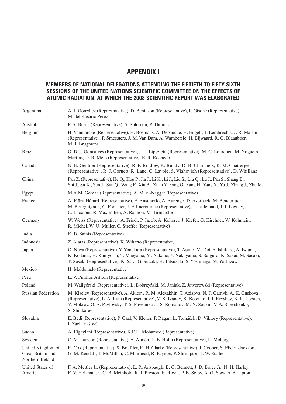# **Appendix I**

### **Members of national delegations attending the fiftieth to fifty-sixth sessions of the United Nations Scientific Committee on the Effects of Atomic Radiation, at which the 2008 scientific report was elaborated**

| Argentina                                                  | A. J. González (Representative), D. Beninson (Representative), P. Gisone (Representative),<br>M. del Rosario Pérez                                                                                                                                                                                                       |
|------------------------------------------------------------|--------------------------------------------------------------------------------------------------------------------------------------------------------------------------------------------------------------------------------------------------------------------------------------------------------------------------|
| Australia                                                  | P. A. Burns (Representative), S. Solomon, P. Thomas                                                                                                                                                                                                                                                                      |
| Belgium                                                    | H. Vanmarcke (Representative), H. Bosmans, A. Debauche, H. Engels, J. Lembrechts, J. R. Maisin<br>(Representative), P. Smeesters, J. M. Van Dam, A. Wambersie, H. Bijwaard, R. O. Blaauboer,<br>M. J. Brugmans                                                                                                           |
| <b>Brazil</b>                                              | O. Dias Gonçalves (Representative), J. L. Lipsztein (Representative), M. C. Lourenço, M. Nogueira<br>Martins, D. R. Melo (Representative), E. R. Rochedo                                                                                                                                                                 |
| Canada                                                     | N. E. Gentner (Representative), R. P. Bradley, K. Bundy, D. B. Chambers, R. M. Chatterjee<br>(Representative), R. J. Cornett, R. Lane, C. Lavoie, S. Vlahovich (Representative), D. Whillans                                                                                                                             |
| China                                                      | Pan Z. (Representative), He Q., Hou P., Jia J., Li K., Li J., Liu S., Liu Q., Lu J., Pan S., Shang B.,<br>Shi J., Su X., Sun J., Sun Q., Wang F., Xiu B., Xuan Y., Yang G., Yang H., Yang X., Yu J., Zhang J., Zhu M.                                                                                                    |
| Egypt                                                      | M.A.M. Gomaa (Representative), A. M. el-Naggar (Representative)                                                                                                                                                                                                                                                          |
| France                                                     | A. Flüry-Hérard (Representative), E. Ansoborlo, A. Aurengo, D. Averbeck, M. Benderitter,<br>M. Bourguignon, C. Forestier, J. F. Lacronique (Representative), J. Lallemand, J. J. Leguay,<br>C. Luccioni, R. Maximilien, A. Rannou, M. Tirmarche                                                                          |
| Germany                                                    | W. Weiss (Representative), A. Friedl, P. Jacob, A. Kellerer, J. Kiefer, G. Kirchner, W. Köhnlein,<br>R. Michel, W. U. Müller, C. Streffer (Representative)                                                                                                                                                               |
| India                                                      | K. B. Sainis (Representative)                                                                                                                                                                                                                                                                                            |
| Indonesia                                                  | Z. Alatas (Representative), K. Wiharto (Representative)                                                                                                                                                                                                                                                                  |
| Japan                                                      | O. Niwa (Representative), Y. Yonekura (Representative), T. Asano, M. Doi, Y. Ishikuro, A. Iwama,<br>K. Kodama, H. Kuniyoshi, T. Maeyama, M. Nakano, Y. Nakayama, S. Saigusa, K. Sakai, M. Sasaki,<br>Y. Sasaki (Representative), K. Sato, G. Suzuki, H. Tatsuzaki, S. Yoshinaga, M. Yoshizawa                            |
| Mexico                                                     | H. Maldonado (Representative)                                                                                                                                                                                                                                                                                            |
| Peru                                                       | L. V. Pinillos Ashton (Representative)                                                                                                                                                                                                                                                                                   |
| Poland                                                     | M. Waligórski (Representative), L. Dobrzyński, M. Janiak, Z. Jaworowski (Representative)                                                                                                                                                                                                                                 |
| <b>Russian Federation</b>                                  | M. Kiselev (Representative), A. Akleev, R. M. Alexakhin, T. Azizova, N. P. Garnyk, A. K. Guskova<br>(Representative), L. A. Ilyin (Representative), V. K. Ivanov, K. Kotenko, I. I. Kryshev, B. K. Lobach,<br>Y. Mokrov, O. A. Pavlovsky, T. S. Povetnikova, S. Romanov, M. N. Savkin, V. A. Shevchenko,<br>S. Shinkarev |
| Slovakia                                                   | E. Bédi (Representative), P. Gaál, V. Klener, P. Ragan, L. Tomášek, D. Viktory (Representative),<br>I. Zachariášová                                                                                                                                                                                                      |
| Sudan                                                      | A. Elgaylani (Representative), K.E.H. Mohamed (Representative)                                                                                                                                                                                                                                                           |
| Sweden                                                     | C. M. Larsson (Representative), A. Almén, L. E. Holm (Representative), L. Moberg                                                                                                                                                                                                                                         |
| United Kingdom of<br>Great Britain and<br>Northern Ireland | R. Cox (Representative), S. Bouffler, R. H. Clarke (Representative), J. Cooper, S. Ebdon-Jackson,<br>G. M. Kendall, T. McMillan, C. Muirhead, R. Paynter, P. Shrimpton, J. W. Stather                                                                                                                                    |
| United States of<br>America                                | F. A. Mettler Jr. (Representative), L. R. Anspaugh, B. G. Bennett, J. D. Boice Jr., N. H. Harley,<br>E. V. Holahan Jr., C. B. Meinhold, R. J. Preston, H. Royal, P. B. Selby, A. G. Sowder, A. Upton                                                                                                                     |